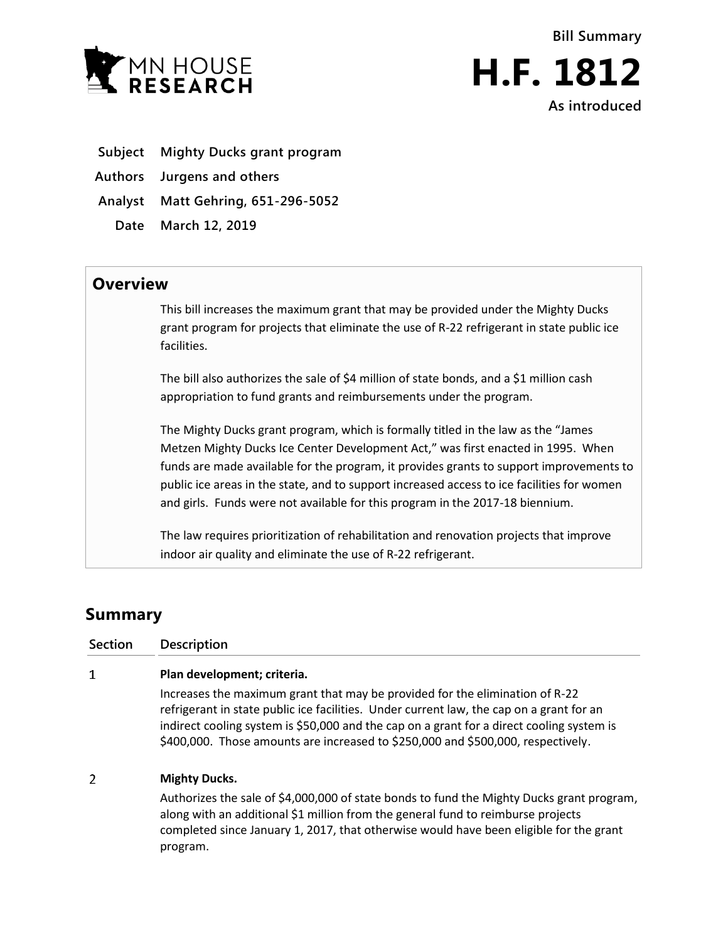



- **Subject Mighty Ducks grant program**
- **Authors Jurgens and others**
- **Analyst Matt Gehring, 651-296-5052**
	- **Date March 12, 2019**

## **Overview**

This bill increases the maximum grant that may be provided under the Mighty Ducks grant program for projects that eliminate the use of R-22 refrigerant in state public ice facilities.

The bill also authorizes the sale of \$4 million of state bonds, and a \$1 million cash appropriation to fund grants and reimbursements under the program.

The Mighty Ducks grant program, which is formally titled in the law as the "James Metzen Mighty Ducks Ice Center Development Act," was first enacted in 1995. When funds are made available for the program, it provides grants to support improvements to public ice areas in the state, and to support increased access to ice facilities for women and girls. Funds were not available for this program in the 2017-18 biennium.

The law requires prioritization of rehabilitation and renovation projects that improve indoor air quality and eliminate the use of R-22 refrigerant.

## **Summary**

program.

**Section Description**  $\mathbf{1}$ **Plan development; criteria.** Increases the maximum grant that may be provided for the elimination of R-22 refrigerant in state public ice facilities. Under current law, the cap on a grant for an indirect cooling system is \$50,000 and the cap on a grant for a direct cooling system is \$400,000. Those amounts are increased to \$250,000 and \$500,000, respectively.  $\overline{2}$ **Mighty Ducks.** Authorizes the sale of \$4,000,000 of state bonds to fund the Mighty Ducks grant program, along with an additional \$1 million from the general fund to reimburse projects

completed since January 1, 2017, that otherwise would have been eligible for the grant